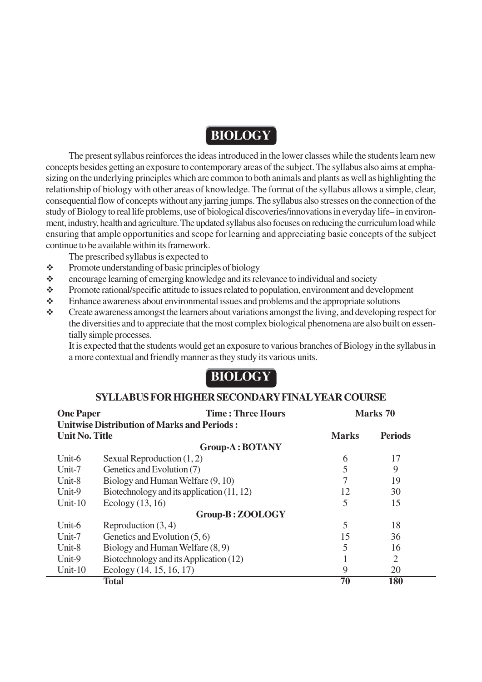# **BIOLOGY**

The present syllabus reinforces the ideas introduced in the lower classes while the students learn new concepts besides getting an exposure to contemporary areas of the subject. The syllabus also aims at emphasizing on the underlying principles which are common to both animals and plants as well as highlighting the relationship of biology with other areas of knowledge. The format of the syllabus allows a simple, clear, consequential flow of concepts without any jarring jumps. The syllabus also stresses on the connection of the study of Biology to real life problems, use of biological discoveries/innovations in everyday life– in environment, industry, health and agriculture. The updated syllabus also focuses on reducing the curriculum load while ensuring that ample opportunities and scope for learning and appreciating basic concepts of the subject continue to be available within its framework.

The prescribed syllabus is expected to

- $\triangle$  Promote understanding of basic principles of biology
- encourage learning of emerging knowledge and its relevance to individual and society
- \* Promote rational/specific attitude to issues related to population, environment and development
- Enhance awareness about environmental issues and problems and the appropriate solutions
- \* Create awareness amongst the learners about variations amongst the living, and developing respect for the diversities and to appreciate that the most complex biological phenomena are also built on essentially simple processes.

It is expected that the students would get an exposure to various branches of Biology in the syllabus in a more contextual and friendly manner as they study its various units.

# **BIOLOGY**

#### **SYLLABUS FOR HIGHER SECONDARY FINAL YEAR COURSE**

| <b>Time: Three Hours</b><br><b>One Paper</b><br><b>Unitwise Distribution of Marks and Periods:</b> |                                              |              | Marks 70       |  |
|----------------------------------------------------------------------------------------------------|----------------------------------------------|--------------|----------------|--|
| <b>Unit No. Title</b>                                                                              |                                              | <b>Marks</b> | <b>Periods</b> |  |
|                                                                                                    | <b>Group-A: BOTANY</b>                       |              |                |  |
| Unit-6                                                                                             | Sexual Reproduction $(1, 2)$                 | 6            | 17             |  |
| Unit-7                                                                                             | Genetics and Evolution (7)                   | 5            | 9              |  |
| Unit-8                                                                                             | Biology and Human Welfare (9, 10)            |              | 19             |  |
| Unit-9                                                                                             | Biotechnology and its application $(11, 12)$ | 12           | 30             |  |
| Unit- $10$                                                                                         | Ecology $(13, 16)$                           | 5            | 15             |  |
|                                                                                                    | Group-B: ZOOLOGY                             |              |                |  |
| Unit-6                                                                                             | Reproduction $(3, 4)$                        | 5            | 18             |  |
| Unit-7                                                                                             | Genetics and Evolution $(5, 6)$              | 15           | 36             |  |
| Unit-8                                                                                             | Biology and Human Welfare (8, 9)             |              | 16             |  |
| Unit-9                                                                                             | Biotechnology and its Application (12)       |              | $\overline{2}$ |  |
| Unit-10                                                                                            | Ecology $(14, 15, 16, 17)$                   | 9            | 20             |  |
|                                                                                                    | Total                                        | 70           | 180            |  |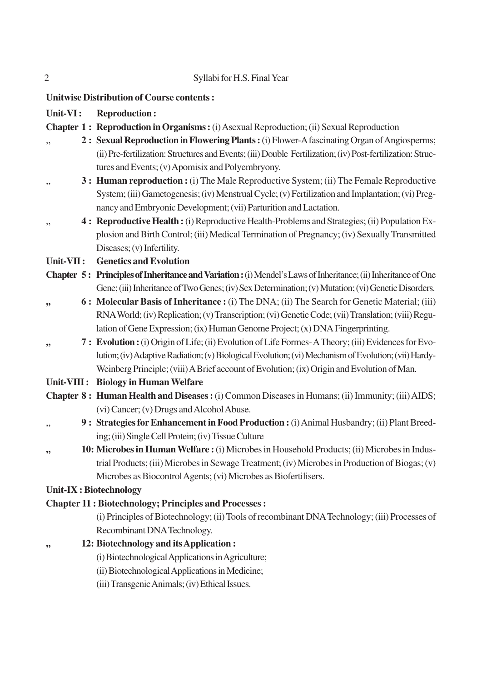|  | Syllabi for H.S. Final Year |
|--|-----------------------------|
|--|-----------------------------|

**Unitwise Distribution of Course contents :**

- **Unit-VI : Reproduction :**
- **Chapter 1 : Reproduction in Organisms :** (i) Asexual Reproduction; (ii) Sexual Reproduction
- ,, **2 : Sexual Reproduction in Flowering Plants :** (i) Flower-A fascinating Organ of Angiosperms; (ii) Pre-fertilization: Structures and Events; (iii) Double Fertilization; (iv) Post-fertilization: Structures and Events; (v) Apomisix and Polyembryony.
- ,, **3 : Human reproduction :** (i) The Male Reproductive System; (ii) The Female Reproductive System; (iii) Gametogenesis; (iv) Menstrual Cycle; (v) Fertilization and Implantation; (vi) Pregnancy and Embryonic Development; (vii) Parturition and Lactation.
- ,, **4 : Reproductive Health :** (i) Reproductive Health-Problems and Strategies; (ii) Population Explosion and Birth Control; (iii) Medical Termination of Pregnancy; (iv) Sexually Transmitted Diseases; (v) Infertility.

**Unit-VII : Genetics and Evolution**

- **Chapter 5 : Principles of Inheritance and Variation :** (i) Mendel's Laws of Inheritance; (ii) Inheritance of One Gene; (iii) Inheritance of Two Genes; (iv) Sex Determination; (v) Mutation; (vi) Genetic Disorders.
- **,, 6 : Molecular Basis of Inheritance :** (i) The DNA; (ii) The Search for Genetic Material; (iii) RNA World; (iv) Replication; (v) Transcription; (vi) Genetic Code; (vii) Translation; (viii) Regulation of Gene Expression; (ix) Human Genome Project; (x) DNA Fingerprinting.
- **,, 7 : Evolution :** (i) Origin of Life; (ii) Evolution of Life Formes- A Theory; (iii) Evidences for Evolution; (iv) Adaptive Radiation; (v) Biological Evolution; (vi) Mechanism of Evolution; (vii) Hardy-Weinberg Principle; (viii) A Brief account of Evolution; (ix) Origin and Evolution of Man.
- **Unit-VIII : Biology in Human Welfare**
- **Chapter 8 : Human Health and Diseases :** (i) Common Diseases in Humans; (ii) Immunity; (iii) AIDS; (vi) Cancer; (v) Drugs and Alcohol Abuse.
- ,, **9 : Strategies for Enhancement in Food Production :** (i) Animal Husbandry; (ii) Plant Breeding; (iii) Single Cell Protein; (iv) Tissue Culture
- **,, 10: Microbes in Human Welfare :** (i) Microbes in Household Products; (ii) Microbes in Industrial Products; (iii) Microbes in Sewage Treatment; (iv) Microbes in Production of Biogas; (v) Microbes as Biocontrol Agents; (vi) Microbes as Biofertilisers.

#### **Unit-IX : Biotechnology**

#### **Chapter 11 : Biotechnology; Principles and Processes :**

(i) Principles of Biotechnology; (ii) Tools of recombinant DNA Technology; (iii) Processes of Recombinant DNA Technology.

- **,, 12: Biotechnology and its Application :**
	- (i) Biotechnological Applications in Agriculture;
	- (ii) Biotechnological Applications in Medicine;
	- (iii) Transgenic Animals; (iv) Ethical Issues.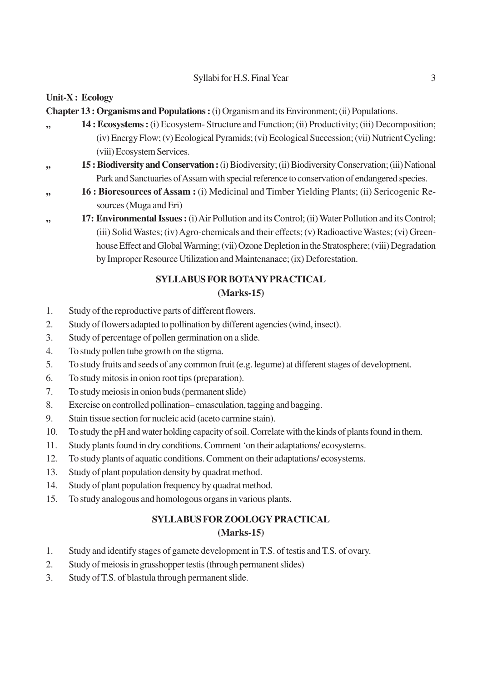#### Syllabi for H.S. Final Year 3

### **Unit-X : Ecology**

**Chapter 13 : Organisms and Populations :** (i) Organism and its Environment; (ii) Populations.

- **,, 14 : Ecosystems :** (i) Ecosystem- Structure and Function; (ii) Productivity; (iii) Decomposition; (iv) Energy Flow; (v) Ecological Pyramids; (vi) Ecological Succession; (vii) Nutrient Cycling; (viii) Ecosystem Services.
- **,, 15 : Biodiversity and Conservation :** (i) Biodiversity; (ii) Biodiversity Conservation; (iii) National Park and Sanctuaries of Assam with special reference to conservation of endangered species.
- **,, 16 : Bioresources of Assam :** (i) Medicinal and Timber Yielding Plants; (ii) Sericogenic Resources (Muga and Eri)
- **,, 17: Environmental Issues :** (i) Air Pollution and its Control; (ii) Water Pollution and its Control; (iii) Solid Wastes; (iv) Agro-chemicals and their effects; (v) Radioactive Wastes; (vi) Greenhouse Effect and Global Warming; (vii) Ozone Depletion in the Stratosphere; (viii) Degradation by Improper Resource Utilization and Maintenanace; (ix) Deforestation.

#### **SYLLABUS FOR BOTANY PRACTICAL (Marks-15)**

- 1. Study of the reproductive parts of different flowers.
- 2. Study of flowers adapted to pollination by different agencies (wind, insect).
- 3. Study of percentage of pollen germination on a slide.
- 4. To study pollen tube growth on the stigma.
- 5. To study fruits and seeds of any common fruit (e.g. legume) at different stages of development.
- 6. To study mitosis in onion root tips (preparation).
- 7. To study meiosis in onion buds (permanent slide)
- 8. Exercise on controlled pollination– emasculation, tagging and bagging.
- 9. Stain tissue section for nucleic acid (aceto carmine stain).
- 10. To study the pH and water holding capacity of soil. Correlate with the kinds of plants found in them.
- 11. Study plants found in dry conditions. Comment 'on their adaptations/ ecosystems.
- 12. To study plants of aquatic conditions. Comment on their adaptations/ ecosystems.
- 13. Study of plant population density by quadrat method.
- 14. Study of plant population frequency by quadrat method.
- 15. To study analogous and homologous organs in various plants.

## **SYLLABUS FOR ZOOLOGY PRACTICAL (Marks-15)**

- 1. Study and identify stages of gamete development in T.S. of testis and T.S. of ovary.
- 2. Study of meiosis in grasshopper testis (through permanent slides)
- 3. Study of T.S. of blastula through permanent slide.